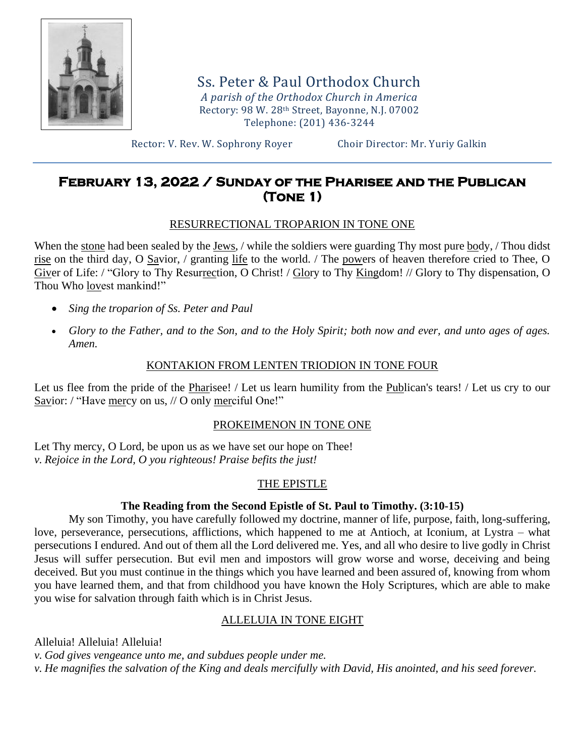

Ss. Peter & Paul Orthodox Church *A parish of the Orthodox Church in America* Rectory: 98 W. 28th Street, Bayonne, N.J. 07002 Telephone: (201) 436-3244

Rector: V. Rev. W. Sophrony Royer Choir Director: Mr. Yuriy Galkin

# **February 13, 2022 / Sunday of the Pharisee and the Publican (Tone 1)**

## RESURRECTIONAL TROPARION IN TONE ONE

When the stone had been sealed by the Jews, / while the soldiers were guarding Thy most pure body, / Thou didst rise on the third day, O Savior, / granting life to the world. / The powers of heaven therefore cried to Thee, O Giver of Life: / "Glory to Thy Resurrection, O Christ! / Glory to Thy Kingdom! // Glory to Thy dispensation, O Thou Who lovest mankind!"

- *Sing the troparion of Ss. Peter and Paul*
- *Glory to the Father, and to the Son, and to the Holy Spirit; both now and ever, and unto ages of ages. Amen.*

## KONTAKION FROM LENTEN TRIODION IN TONE FOUR

Let us flee from the pride of the Pharisee! / Let us learn humility from the Publican's tears! / Let us cry to our Savior: / "Have mercy on us, // O only merciful One!"

## PROKEIMENON IN TONE ONE

Let Thy mercy, O Lord, be upon us as we have set our hope on Thee! *v. Rejoice in the Lord, O you righteous! Praise befits the just!*

# THE EPISTLE

## **The Reading from the Second Epistle of St. Paul to Timothy. (3:10-15)**

My son Timothy, you have carefully followed my doctrine, manner of life, purpose, faith, long-suffering, love, perseverance, persecutions, afflictions, which happened to me at Antioch, at Iconium, at Lystra – what persecutions I endured. And out of them all the Lord delivered me. Yes, and all who desire to live godly in Christ Jesus will suffer persecution. But evil men and impostors will grow worse and worse, deceiving and being deceived. But you must continue in the things which you have learned and been assured of, knowing from whom you have learned them, and that from childhood you have known the Holy Scriptures, which are able to make you wise for salvation through faith which is in Christ Jesus.

## ALLELUIA IN TONE EIGHT

Alleluia! Alleluia! Alleluia! *v. God gives vengeance unto me, and subdues people under me. v. He magnifies the salvation of the King and deals mercifully with David, His anointed, and his seed forever.*